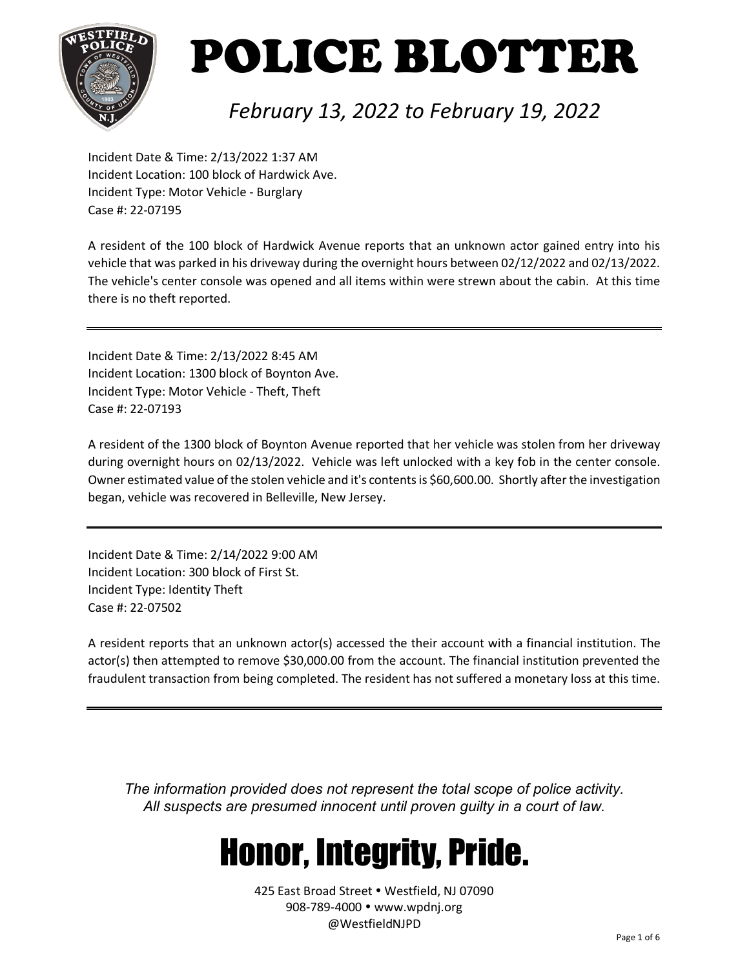

### *February 13, 2022 to February 19, 2022*

Incident Date & Time: 2/13/2022 1:37 AM Incident Location: 100 block of Hardwick Ave. Incident Type: Motor Vehicle - Burglary Case #: 22-07195

A resident of the 100 block of Hardwick Avenue reports that an unknown actor gained entry into his vehicle that was parked in his driveway during the overnight hours between 02/12/2022 and 02/13/2022. The vehicle's center console was opened and all items within were strewn about the cabin. At this time there is no theft reported.

Incident Date & Time: 2/13/2022 8:45 AM Incident Location: 1300 block of Boynton Ave. Incident Type: Motor Vehicle - Theft, Theft Case #: 22-07193

A resident of the 1300 block of Boynton Avenue reported that her vehicle was stolen from her driveway during overnight hours on 02/13/2022. Vehicle was left unlocked with a key fob in the center console. Owner estimated value of the stolen vehicle and it's contents is \$60,600.00. Shortly after the investigation began, vehicle was recovered in Belleville, New Jersey.

Incident Date & Time: 2/14/2022 9:00 AM Incident Location: 300 block of First St. Incident Type: Identity Theft Case #: 22-07502

A resident reports that an unknown actor(s) accessed the their account with a financial institution. The actor(s) then attempted to remove \$30,000.00 from the account. The financial institution prevented the fraudulent transaction from being completed. The resident has not suffered a monetary loss at this time.

*The information provided does not represent the total scope of police activity. All suspects are presumed innocent until proven guilty in a court of law.*

## Honor, Integrity, Pride.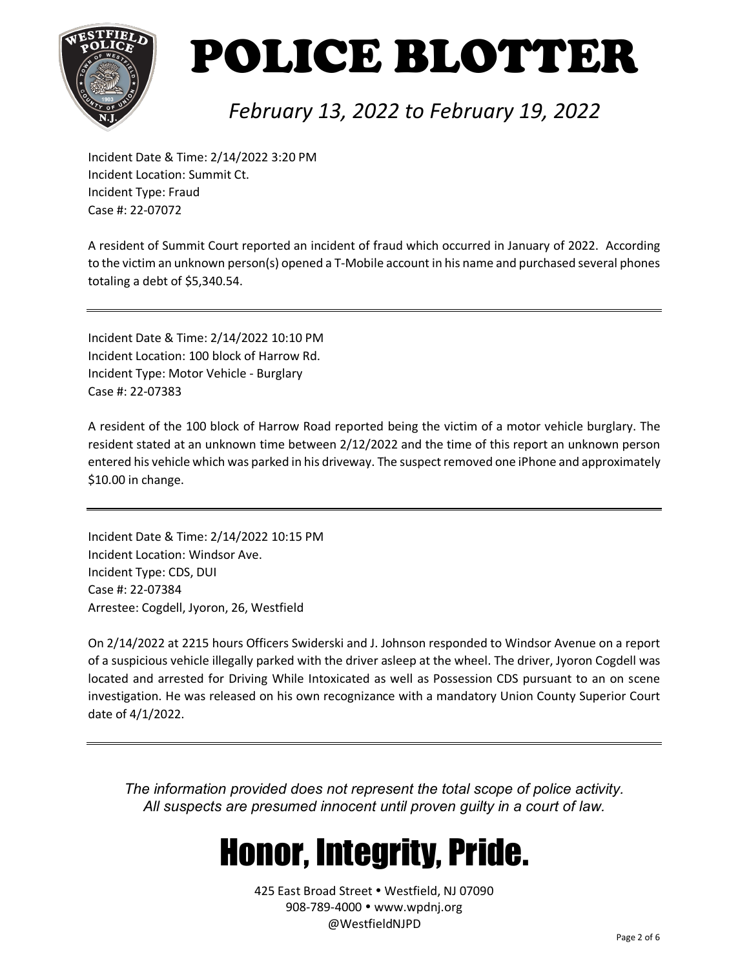

### *February 13, 2022 to February 19, 2022*

Incident Date & Time: 2/14/2022 3:20 PM Incident Location: Summit Ct. Incident Type: Fraud Case #: 22-07072

A resident of Summit Court reported an incident of fraud which occurred in January of 2022. According to the victim an unknown person(s) opened a T-Mobile account in his name and purchased several phones totaling a debt of \$5,340.54.

Incident Date & Time: 2/14/2022 10:10 PM Incident Location: 100 block of Harrow Rd. Incident Type: Motor Vehicle - Burglary Case #: 22-07383

A resident of the 100 block of Harrow Road reported being the victim of a motor vehicle burglary. The resident stated at an unknown time between 2/12/2022 and the time of this report an unknown person entered his vehicle which was parked in his driveway. The suspect removed one iPhone and approximately \$10.00 in change.

Incident Date & Time: 2/14/2022 10:15 PM Incident Location: Windsor Ave. Incident Type: CDS, DUI Case #: 22-07384 Arrestee: Cogdell, Jyoron, 26, Westfield

On 2/14/2022 at 2215 hours Officers Swiderski and J. Johnson responded to Windsor Avenue on a report of a suspicious vehicle illegally parked with the driver asleep at the wheel. The driver, Jyoron Cogdell was located and arrested for Driving While Intoxicated as well as Possession CDS pursuant to an on scene investigation. He was released on his own recognizance with a mandatory Union County Superior Court date of 4/1/2022.

*The information provided does not represent the total scope of police activity. All suspects are presumed innocent until proven guilty in a court of law.*

## Honor, Integrity, Pride.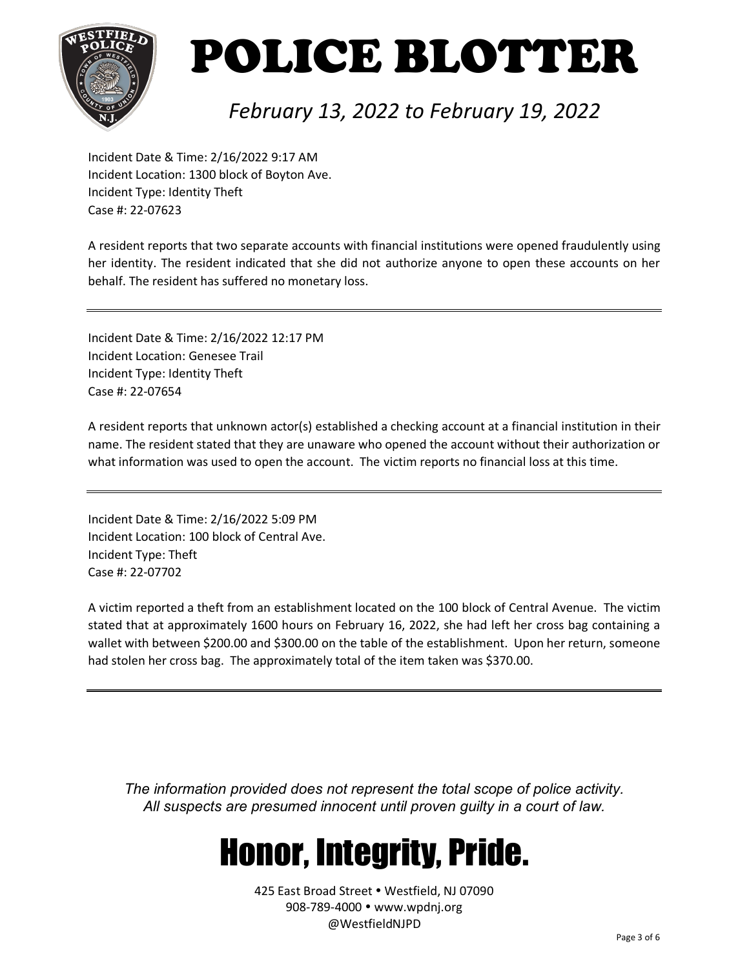

### *February 13, 2022 to February 19, 2022*

Incident Date & Time: 2/16/2022 9:17 AM Incident Location: 1300 block of Boyton Ave. Incident Type: Identity Theft Case #: 22-07623

A resident reports that two separate accounts with financial institutions were opened fraudulently using her identity. The resident indicated that she did not authorize anyone to open these accounts on her behalf. The resident has suffered no monetary loss.

Incident Date & Time: 2/16/2022 12:17 PM Incident Location: Genesee Trail Incident Type: Identity Theft Case #: 22-07654

A resident reports that unknown actor(s) established a checking account at a financial institution in their name. The resident stated that they are unaware who opened the account without their authorization or what information was used to open the account. The victim reports no financial loss at this time.

Incident Date & Time: 2/16/2022 5:09 PM Incident Location: 100 block of Central Ave. Incident Type: Theft Case #: 22-07702

A victim reported a theft from an establishment located on the 100 block of Central Avenue. The victim stated that at approximately 1600 hours on February 16, 2022, she had left her cross bag containing a wallet with between \$200.00 and \$300.00 on the table of the establishment. Upon her return, someone had stolen her cross bag. The approximately total of the item taken was \$370.00.

*The information provided does not represent the total scope of police activity. All suspects are presumed innocent until proven guilty in a court of law.*

## Honor, Integrity, Pride.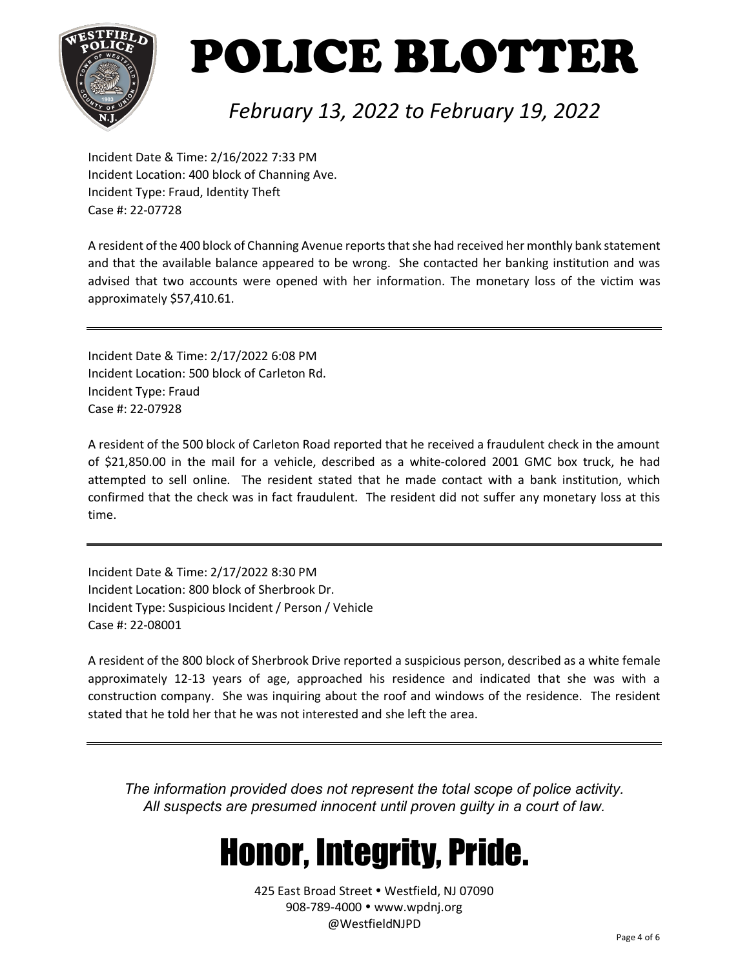

#### *February 13, 2022 to February 19, 2022*

Incident Date & Time: 2/16/2022 7:33 PM Incident Location: 400 block of Channing Ave. Incident Type: Fraud, Identity Theft Case #: 22-07728

A resident of the 400 block of Channing Avenue reports that she had received her monthly bank statement and that the available balance appeared to be wrong. She contacted her banking institution and was advised that two accounts were opened with her information. The monetary loss of the victim was approximately \$57,410.61.

Incident Date & Time: 2/17/2022 6:08 PM Incident Location: 500 block of Carleton Rd. Incident Type: Fraud Case #: 22-07928

A resident of the 500 block of Carleton Road reported that he received a fraudulent check in the amount of \$21,850.00 in the mail for a vehicle, described as a white-colored 2001 GMC box truck, he had attempted to sell online. The resident stated that he made contact with a bank institution, which confirmed that the check was in fact fraudulent. The resident did not suffer any monetary loss at this time.

Incident Date & Time: 2/17/2022 8:30 PM Incident Location: 800 block of Sherbrook Dr. Incident Type: Suspicious Incident / Person / Vehicle Case #: 22-08001

A resident of the 800 block of Sherbrook Drive reported a suspicious person, described as a white female approximately 12-13 years of age, approached his residence and indicated that she was with a construction company. She was inquiring about the roof and windows of the residence. The resident stated that he told her that he was not interested and she left the area.

*The information provided does not represent the total scope of police activity. All suspects are presumed innocent until proven guilty in a court of law.*

## Honor, Integrity, Pride.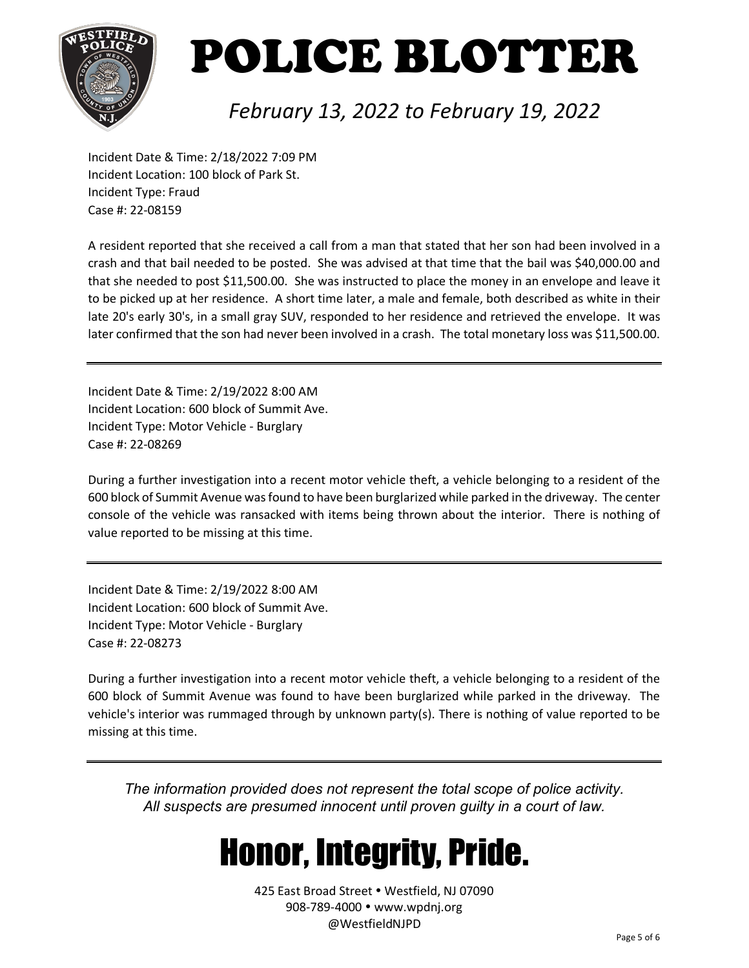

### *February 13, 2022 to February 19, 2022*

Incident Date & Time: 2/18/2022 7:09 PM Incident Location: 100 block of Park St. Incident Type: Fraud Case #: 22-08159

A resident reported that she received a call from a man that stated that her son had been involved in a crash and that bail needed to be posted. She was advised at that time that the bail was \$40,000.00 and that she needed to post \$11,500.00. She was instructed to place the money in an envelope and leave it to be picked up at her residence. A short time later, a male and female, both described as white in their late 20's early 30's, in a small gray SUV, responded to her residence and retrieved the envelope. It was later confirmed that the son had never been involved in a crash. The total monetary loss was \$11,500.00.

Incident Date & Time: 2/19/2022 8:00 AM Incident Location: 600 block of Summit Ave. Incident Type: Motor Vehicle - Burglary Case #: 22-08269

During a further investigation into a recent motor vehicle theft, a vehicle belonging to a resident of the 600 block of Summit Avenue was found to have been burglarized while parked in the driveway. The center console of the vehicle was ransacked with items being thrown about the interior. There is nothing of value reported to be missing at this time.

Incident Date & Time: 2/19/2022 8:00 AM Incident Location: 600 block of Summit Ave. Incident Type: Motor Vehicle - Burglary Case #: 22-08273

During a further investigation into a recent motor vehicle theft, a vehicle belonging to a resident of the 600 block of Summit Avenue was found to have been burglarized while parked in the driveway. The vehicle's interior was rummaged through by unknown party(s). There is nothing of value reported to be missing at this time.

*The information provided does not represent the total scope of police activity. All suspects are presumed innocent until proven guilty in a court of law.*

## Honor, Integrity, Pride.